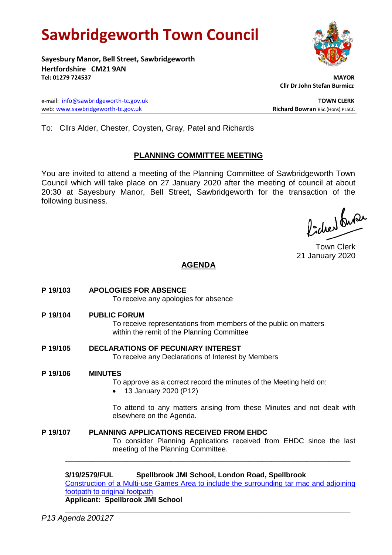# **Sawbridgeworth Town Council**

**Sayesbury Manor, Bell Street, Sawbridgeworth Hertfordshire CM21 9AN Tel: 01279 724537 MAYOR**

e-mail: [info@sawbridgeworth-tc.gov.uk](mailto:info@sawbridgeworth-tc.gov.uk) **TOWN CLERK TOWN CLERK** web: www.sawbridgeworth-tc.gov.uk<br> **Richard Bowran** BSc.(Hons) PLSCC

 **Cllr Dr John Stefan Burmicz**

To: Cllrs Alder, Chester, Coysten, Gray, Patel and Richards

# **PLANNING COMMITTEE MEETING**

You are invited to attend a meeting of the Planning Committee of Sawbridgeworth Town Council which will take place on 27 January 2020 after the meeting of council at about 20:30 at Sayesbury Manor, Bell Street, Sawbridgeworth for the transaction of the following business.

Picked fuse

Town Clerk 21 January 2020

# **AGENDA**

**P 19/103 APOLOGIES FOR ABSENCE** To receive any apologies for absence **P 19/104 PUBLIC FORUM** To receive representations from members of the public on matters within the remit of the Planning Committee **P 19/105 DECLARATIONS OF PECUNIARY INTEREST** To receive any Declarations of Interest by Members **P 19/106 MINUTES** To approve as a correct record the minutes of the Meeting held on: 13 January 2020 (P12) To attend to any matters arising from these Minutes and not dealt with elsewhere on the Agenda. **P 19/107 PLANNING APPLICATIONS RECEIVED FROM EHDC** To consider Planning Applications received from EHDC since the last meeting of the Planning Committee. **\_\_\_\_\_\_\_\_\_\_\_\_\_\_\_\_\_\_\_\_\_\_\_\_\_\_\_\_\_\_\_\_\_\_\_\_\_\_\_\_\_\_\_\_\_\_\_\_\_\_\_\_\_\_\_\_\_\_\_\_\_\_\_\_\_**

**3/19/2579/FUL Spellbrook JMI School, London Road, Spellbrook** [Construction of a Multi-use Games Area to include the surrounding tar mac and adjoining](https://publicaccess.eastherts.gov.uk/online-applications/applicationDetails.do?activeTab=documents&keyVal=Q2PIQZGLMGA00)  [footpath to original footpath](https://publicaccess.eastherts.gov.uk/online-applications/applicationDetails.do?activeTab=documents&keyVal=Q2PIQZGLMGA00) **Applicant: Spellbrook JMI School**

**\_\_\_\_\_\_\_\_\_\_\_\_\_\_\_\_\_\_\_\_\_\_\_\_\_\_\_\_\_\_\_\_\_\_\_\_\_\_\_\_\_\_\_\_\_\_\_\_\_\_\_\_\_\_\_\_\_\_\_\_\_\_\_\_\_**

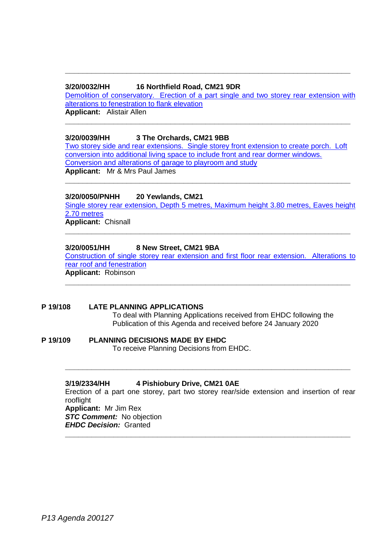# **3/20/0032/HH 16 Northfield Road, CM21 9DR**

[Demolition of conservatory. Erection of a part single](https://publicaccess.eastherts.gov.uk/online-applications/applicationDetails.do?activeTab=documents&keyVal=Q3U9G1GLMNK00) and two storey rear extension with [alterations to fenestration to flank elevation](https://publicaccess.eastherts.gov.uk/online-applications/applicationDetails.do?activeTab=documents&keyVal=Q3U9G1GLMNK00) **Applicant:** Alistair Allen

**\_\_\_\_\_\_\_\_\_\_\_\_\_\_\_\_\_\_\_\_\_\_\_\_\_\_\_\_\_\_\_\_\_\_\_\_\_\_\_\_\_\_\_\_\_\_\_\_\_\_\_\_\_\_\_\_\_\_\_\_\_\_\_\_\_**

**\_\_\_\_\_\_\_\_\_\_\_\_\_\_\_\_\_\_\_\_\_\_\_\_\_\_\_\_\_\_\_\_\_\_\_\_\_\_\_\_\_\_\_\_\_\_\_\_\_\_\_\_\_\_\_\_\_\_\_\_\_\_\_\_\_**

# **3/20/0039/HH 3 The Orchards, CM21 9BB**

[Two storey side and rear extensions. Single storey front extension to create porch. Loft](https://publicaccess.eastherts.gov.uk/online-applications/applicationDetails.do?activeTab=documents&keyVal=Q3W42GGLMO200)  [conversion into additional living space to include front and rear dormer windows.](https://publicaccess.eastherts.gov.uk/online-applications/applicationDetails.do?activeTab=documents&keyVal=Q3W42GGLMO200)  [Conversion and alterations of garage to playroom and study](https://publicaccess.eastherts.gov.uk/online-applications/applicationDetails.do?activeTab=documents&keyVal=Q3W42GGLMO200) **Applicant:** Mr & Mrs Paul James

**\_\_\_\_\_\_\_\_\_\_\_\_\_\_\_\_\_\_\_\_\_\_\_\_\_\_\_\_\_\_\_\_\_\_\_\_\_\_\_\_\_\_\_\_\_\_\_\_\_\_\_\_\_\_\_\_\_\_\_\_\_\_\_\_\_**

## **3/20/0050/PNHH 20 Yewlands, CM21**

[Single storey rear extension, Depth 5 metres, Maximum height 3.80 metres, Eaves height](https://publicaccess.eastherts.gov.uk/online-applications/applicationDetails.do?activeTab=documents&keyVal=Q41HE4GL00X00)  [2.70 metres](https://publicaccess.eastherts.gov.uk/online-applications/applicationDetails.do?activeTab=documents&keyVal=Q41HE4GL00X00)

**\_\_\_\_\_\_\_\_\_\_\_\_\_\_\_\_\_\_\_\_\_\_\_\_\_\_\_\_\_\_\_\_\_\_\_\_\_\_\_\_\_\_\_\_\_\_\_\_\_\_\_\_\_\_\_\_\_\_\_\_\_\_\_\_\_**

**Applicant:** Chisnall

## **3/20/0051/HH 8 New Street, CM21 9BA**

[Construction of single storey rear extension and first floor rear extension. Alterations to](https://publicaccess.eastherts.gov.uk/online-applications/applicationDetails.do?activeTab=documents&keyVal=Q41O2AGLMOX00)  [rear roof and fenestration](https://publicaccess.eastherts.gov.uk/online-applications/applicationDetails.do?activeTab=documents&keyVal=Q41O2AGLMOX00) **Applicant:** Robinson

**\_\_\_\_\_\_\_\_\_\_\_\_\_\_\_\_\_\_\_\_\_\_\_\_\_\_\_\_\_\_\_\_\_\_\_\_\_\_\_\_\_\_\_\_\_\_\_\_\_\_\_\_\_\_\_\_\_\_\_\_\_\_\_\_\_**

#### **P 19/108 LATE PLANNING APPLICATIONS**

To deal with Planning Applications received from EHDC following the Publication of this Agenda and received before 24 January 2020

#### **P 19/109 PLANNING DECISIONS MADE BY EHDC**

To receive Planning Decisions from EHDC.

#### **3/19/2334/HH 4 Pishiobury Drive, CM21 0AE**

Erection of a part one storey, part two storey rear/side extension and insertion of rear rooflight **Applicant:** Mr Jim Rex *STC Comment:* No objection *EHDC Decision:* Granted

**\_\_\_\_\_\_\_\_\_\_\_\_\_\_\_\_\_\_\_\_\_\_\_\_\_\_\_\_\_\_\_\_\_\_\_\_\_\_\_\_\_\_\_\_\_\_\_\_\_\_\_\_\_\_\_\_\_\_\_\_\_\_\_\_\_**

**\_\_\_\_\_\_\_\_\_\_\_\_\_\_\_\_\_\_\_\_\_\_\_\_\_\_\_\_\_\_\_\_\_\_\_\_\_\_\_\_\_\_\_\_\_\_\_\_\_\_\_\_\_\_\_\_\_\_\_\_\_\_\_\_\_**